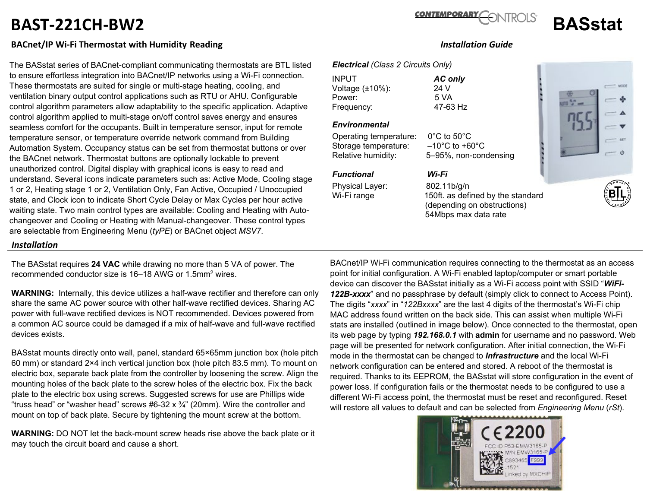# **BAST-221CH-BW2 BASstat**

### **BACnet/IP Wi-Fi Thermostat with Humidity Reading** *Installation Guide*

The BASstat series of BACnet-compliant communicating thermostats are BTL listed to ensure effortless integration into BACnet/IP networks using a Wi-Fi connection. These thermostats are suited for single or multi-stage heating, cooling, and ventilation binary output control applications such as RTU or AHU. Configurable control algorithm parameters allow adaptability to the specific application. Adaptive control algorithm applied to multi-stage on/off control saves energy and ensures seamless comfort for the occupants. Built in temperature sensor, input for remote temperature sensor, or temperature override network command from Building Automation System. Occupancy status can be set from thermostat buttons or over the BACnet network. Thermostat buttons are optionally lockable to prevent unauthorized control. Digital display with graphical icons is easy to read and understand. Several icons indicate parameters such as: Active Mode, Cooling stage 1 or 2, Heating stage 1 or 2, Ventilation Only, Fan Active, Occupied / Unoccupied state, and Clock icon to indicate Short Cycle Delay or Max Cycles per hour active waiting state. Two main control types are available: Cooling and Heating with Autochangeover and Cooling or Heating with Manual-changeover. These control types are selectable from Engineering Menu (*tyPE*) or BACnet object *MSV7*.

#### *Installation*

The BASstat requires **24 VAC** while drawing no more than 5 VA of power. The recommended conductor size is 16–18 AWG or 1.5mm2 wires.

**WARNING:** Internally, this device utilizes a half-wave rectifier and therefore can only share the same AC power source with other half-wave rectified devices. Sharing AC power with full-wave rectified devices is NOT recommended. Devices powered from a common AC source could be damaged if a mix of half-wave and full-wave rectified devices exists.

BASstat mounts directly onto wall, panel, standard 65×65mm junction box (hole pitch 60 mm) or standard 2×4 inch vertical junction box (hole pitch 83.5 mm). To mount on electric box, separate back plate from the controller by loosening the screw. Align the mounting holes of the back plate to the screw holes of the electric box. Fix the back plate to the electric box using screws. Suggested screws for use are Phillips wide "truss head" or "washer head" screws  $#6-32 \times \frac{3}{4}$ " (20mm). Wire the controller and mount on top of back plate. Secure by tightening the mount screw at the bottom.

**WARNING:** DO NOT let the back-mount screw heads rise above the back plate or it may touch the circuit board and cause a short.

#### BACnet/IP Wi-Fi communication requires connecting to the thermostat as an access point for initial configuration. A Wi-Fi enabled laptop/computer or smart portable device can discover the BASstat initially as a Wi-Fi access point with SSID "*WiFi-122B-xxxx*" and no passphrase by default (simply click to connect to Access Point). The digits "*xxxx*" in "*122Bxxxx*" are the last 4 digits of the thermostat's Wi-Fi chip MAC address found written on the back side. This can assist when multiple Wi-Fi stats are installed (outlined in image below). Once connected to the thermostat, open its web page by typing *192.168.0.1* with **admin** for username and no password. Web page will be presented for network configuration. After initial connection, the Wi-Fi mode in the thermostat can be changed to *Infrastructure* and the local Wi-Fi network configuration can be entered and stored. A reboot of the thermostat is required. Thanks to its EEPROM, the BASstat will store configuration in the event of power loss. If configuration fails or the thermostat needs to be configured to use a different Wi-Fi access point, the thermostat must be reset and reconfigured. Reset will restore all values to default and can be selected from *Engineering Menu* (*rSt*).





#### *Electrical (Class 2 Circuits Only)*

INPUT *AC only* Voltage (±10%): 24 V Power: 5 VA<br>Frequency: 6 17-63 Hz Frequency:

#### *Environmental*

Operating temperature: 0°C to 50°C Storage temperature: –10°C to +60°C Relative humidity: 5–95%, non-condensing

#### *Functional Wi-Fi*

Physical Layer: 802.11b/g/n

Wi-Fi range 150ft. as defined by the standard (depending on obstructions) 54Mbps max data rate





## **CONTEMPORARY**